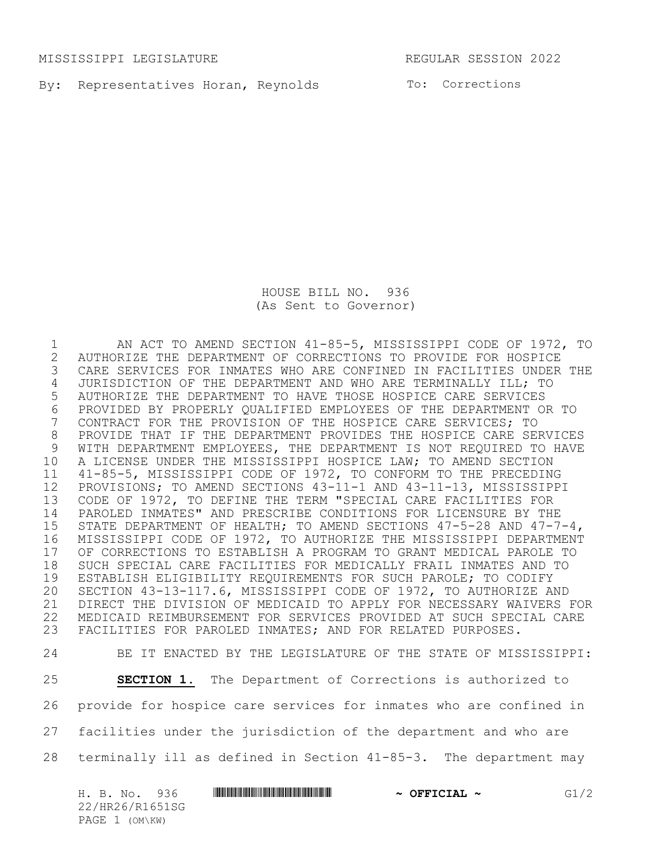MISSISSIPPI LEGISLATURE REGULAR SESSION 2022

By: Representatives Horan, Reynolds To: Corrections

HOUSE BILL NO. 936 (As Sent to Governor)

 AN ACT TO AMEND SECTION 41-85-5, MISSISSIPPI CODE OF 1972, TO 2 AUTHORIZE THE DEPARTMENT OF CORRECTIONS TO PROVIDE FOR HOSPICE<br>3 CARE SERVICES FOR INMATES WHO ARE CONFINED IN FACILITIES UNDER CARE SERVICES FOR INMATES WHO ARE CONFINED IN FACILITIES UNDER THE JURISDICTION OF THE DEPARTMENT AND WHO ARE TERMINALLY ILL; TO AUTHORIZE THE DEPARTMENT TO HAVE THOSE HOSPICE CARE SERVICES 6 PROVIDED BY PROPERLY QUALIFIED EMPLOYEES OF THE DEPARTMENT OR TO<br>7 CONTRACT FOR THE PROVISION OF THE HOSPICE CARE SERVICES; TO CONTRACT FOR THE PROVISION OF THE HOSPICE CARE SERVICES; TO PROVIDE THAT IF THE DEPARTMENT PROVIDES THE HOSPICE CARE SERVICES WITH DEPARTMENT EMPLOYEES, THE DEPARTMENT IS NOT REQUIRED TO HAVE A LICENSE UNDER THE MISSISSIPPI HOSPICE LAW; TO AMEND SECTION 41-85-5, MISSISSIPPI CODE OF 1972, TO CONFORM TO THE PRECEDING PROVISIONS; TO AMEND SECTIONS 43-11-1 AND 43-11-13, MISSISSIPPI CODE OF 1972, TO DEFINE THE TERM "SPECIAL CARE FACILITIES FOR PAROLED INMATES" AND PRESCRIBE CONDITIONS FOR LICENSURE BY THE STATE DEPARTMENT OF HEALTH; TO AMEND SECTIONS 47-5-28 AND 47-7-4, MISSISSIPPI CODE OF 1972, TO AUTHORIZE THE MISSISSIPPI DEPARTMENT 17 OF CORRECTIONS TO ESTABLISH A PROGRAM TO GRANT MEDICAL PAROLE TO<br>18 SUCH SPECIAL CARE FACILITIES FOR MEDICALLY FRAIL INMATES AND TO 18 SUCH SPECIAL CARE FACILITIES FOR MEDICALLY FRAIL INMATES AND TO<br>19 ESTABLISH ELIGIBILITY REQUIREMENTS FOR SUCH PAROLE; TO CODIFY ESTABLISH ELIGIBILITY REQUIREMENTS FOR SUCH PAROLE; TO CODIFY SECTION 43-13-117.6, MISSISSIPPI CODE OF 1972, TO AUTHORIZE AND DIRECT THE DIVISION OF MEDICAID TO APPLY FOR NECESSARY WAIVERS FOR MEDICAID REIMBURSEMENT FOR SERVICES PROVIDED AT SUCH SPECIAL CARE FACILITIES FOR PAROLED INMATES; AND FOR RELATED PURPOSES.

 BE IT ENACTED BY THE LEGISLATURE OF THE STATE OF MISSISSIPPI: **SECTION 1.** The Department of Corrections is authorized to provide for hospice care services for inmates who are confined in facilities under the jurisdiction of the department and who are terminally ill as defined in Section 41-85-3. The department may

H. B. No. 936 \*HR26/R1651SG\* **~ OFFICIAL ~** G1/2 22/HR26/R1651SG PAGE 1 (OM\KW)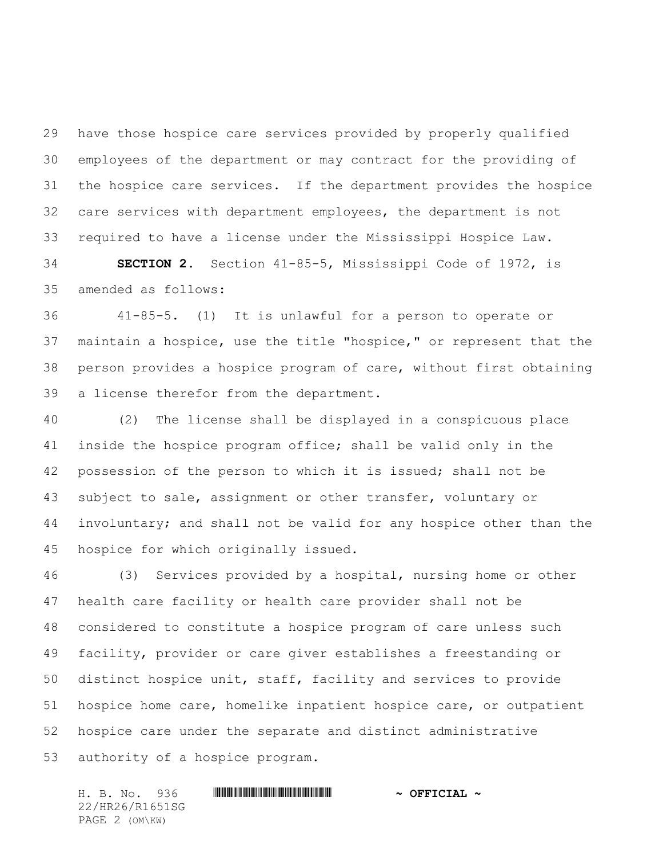have those hospice care services provided by properly qualified employees of the department or may contract for the providing of the hospice care services. If the department provides the hospice care services with department employees, the department is not required to have a license under the Mississippi Hospice Law.

 **SECTION 2.** Section 41-85-5, Mississippi Code of 1972, is amended as follows:

 41-85-5. (1) It is unlawful for a person to operate or maintain a hospice, use the title "hospice," or represent that the person provides a hospice program of care, without first obtaining a license therefor from the department.

 (2) The license shall be displayed in a conspicuous place inside the hospice program office; shall be valid only in the possession of the person to which it is issued; shall not be subject to sale, assignment or other transfer, voluntary or involuntary; and shall not be valid for any hospice other than the hospice for which originally issued.

 (3) Services provided by a hospital, nursing home or other health care facility or health care provider shall not be considered to constitute a hospice program of care unless such facility, provider or care giver establishes a freestanding or distinct hospice unit, staff, facility and services to provide hospice home care, homelike inpatient hospice care, or outpatient hospice care under the separate and distinct administrative authority of a hospice program.

H. B. No. 936 \*HR26/R1651SG\* **~ OFFICIAL ~** 22/HR26/R1651SG PAGE 2 (OM\KW)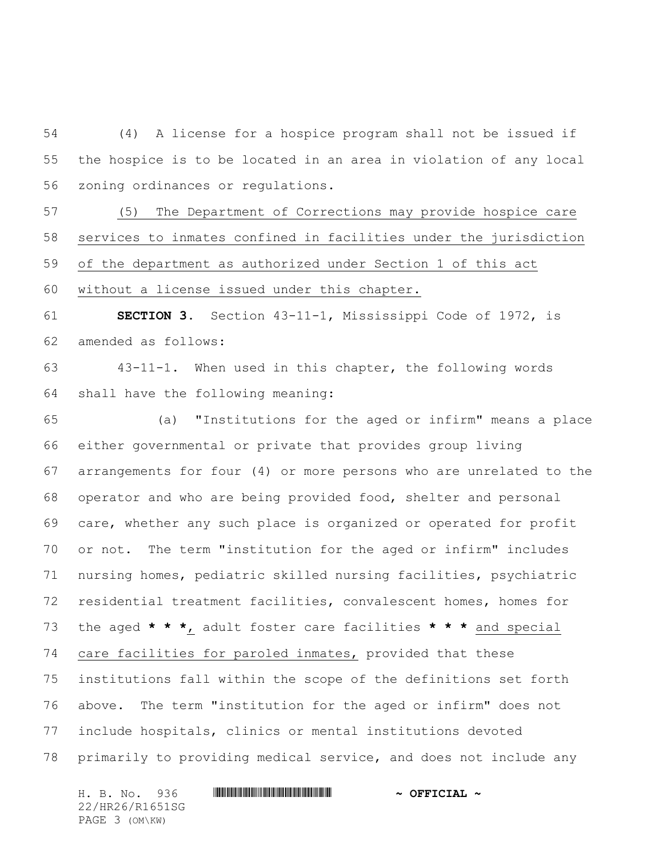(4) A license for a hospice program shall not be issued if the hospice is to be located in an area in violation of any local zoning ordinances or regulations.

 (5) The Department of Corrections may provide hospice care services to inmates confined in facilities under the jurisdiction of the department as authorized under Section 1 of this act without a license issued under this chapter.

 **SECTION 3.** Section 43-11-1, Mississippi Code of 1972, is amended as follows:

 43-11-1. When used in this chapter, the following words shall have the following meaning:

 (a) "Institutions for the aged or infirm" means a place either governmental or private that provides group living arrangements for four (4) or more persons who are unrelated to the operator and who are being provided food, shelter and personal care, whether any such place is organized or operated for profit or not. The term "institution for the aged or infirm" includes nursing homes, pediatric skilled nursing facilities, psychiatric residential treatment facilities, convalescent homes, homes for the aged **\* \* \***, adult foster care facilities **\* \* \*** and special care facilities for paroled inmates, provided that these institutions fall within the scope of the definitions set forth above. The term "institution for the aged or infirm" does not include hospitals, clinics or mental institutions devoted primarily to providing medical service, and does not include any

H. B. No. 936 \*HR26/R1651SG\* **~ OFFICIAL ~** 22/HR26/R1651SG PAGE 3 (OM\KW)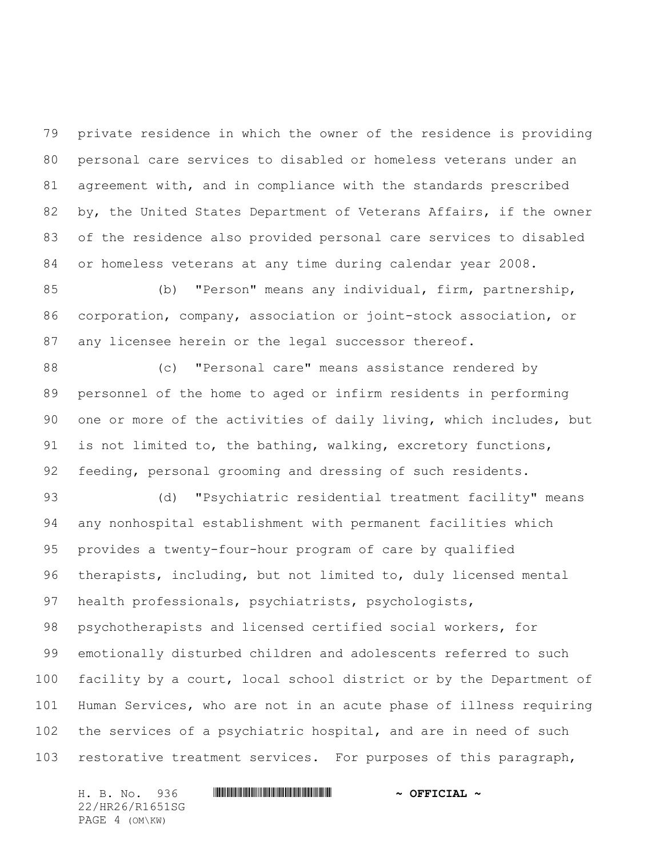private residence in which the owner of the residence is providing personal care services to disabled or homeless veterans under an agreement with, and in compliance with the standards prescribed by, the United States Department of Veterans Affairs, if the owner of the residence also provided personal care services to disabled or homeless veterans at any time during calendar year 2008.

 (b) "Person" means any individual, firm, partnership, corporation, company, association or joint-stock association, or any licensee herein or the legal successor thereof.

 (c) "Personal care" means assistance rendered by personnel of the home to aged or infirm residents in performing one or more of the activities of daily living, which includes, but 91 is not limited to, the bathing, walking, excretory functions, feeding, personal grooming and dressing of such residents.

 (d) "Psychiatric residential treatment facility" means any nonhospital establishment with permanent facilities which provides a twenty-four-hour program of care by qualified therapists, including, but not limited to, duly licensed mental health professionals, psychiatrists, psychologists, psychotherapists and licensed certified social workers, for emotionally disturbed children and adolescents referred to such facility by a court, local school district or by the Department of Human Services, who are not in an acute phase of illness requiring the services of a psychiatric hospital, and are in need of such restorative treatment services. For purposes of this paragraph,

22/HR26/R1651SG PAGE 4 (OM\KW)

## H. B. No. 936 \*HR26/R1651SG\* **~ OFFICIAL ~**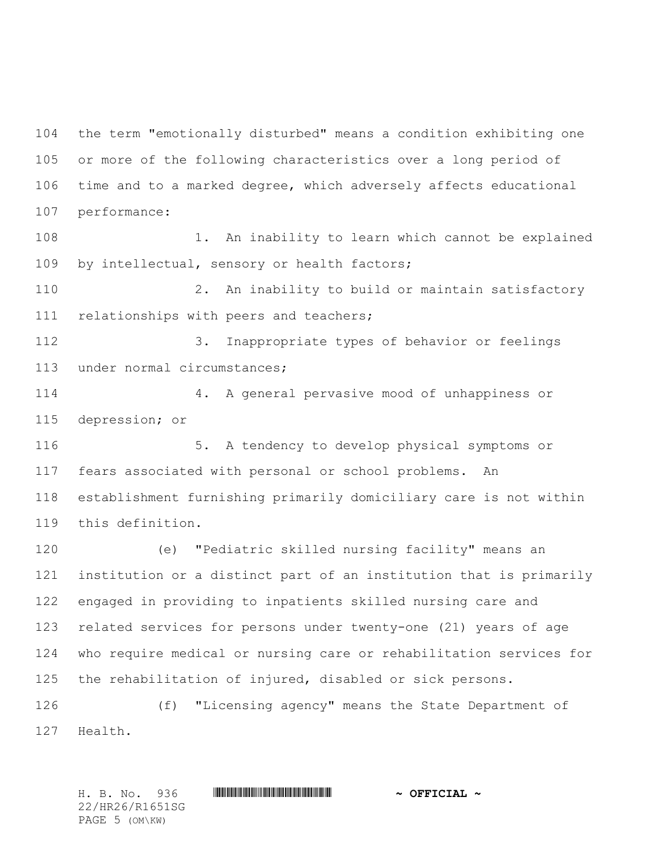the term "emotionally disturbed" means a condition exhibiting one or more of the following characteristics over a long period of time and to a marked degree, which adversely affects educational performance:

108 1. An inability to learn which cannot be explained by intellectual, sensory or health factors;

 2. An inability to build or maintain satisfactory 111 relationships with peers and teachers;

 3. Inappropriate types of behavior or feelings under normal circumstances;

 4. A general pervasive mood of unhappiness or depression; or

 5. A tendency to develop physical symptoms or fears associated with personal or school problems. An establishment furnishing primarily domiciliary care is not within this definition.

 (e) "Pediatric skilled nursing facility" means an institution or a distinct part of an institution that is primarily engaged in providing to inpatients skilled nursing care and related services for persons under twenty-one (21) years of age who require medical or nursing care or rehabilitation services for the rehabilitation of injured, disabled or sick persons.

 (f) "Licensing agency" means the State Department of Health.

H. B. No. 936 \*HR26/R1651SG\* **~ OFFICIAL ~** 22/HR26/R1651SG PAGE 5 (OM\KW)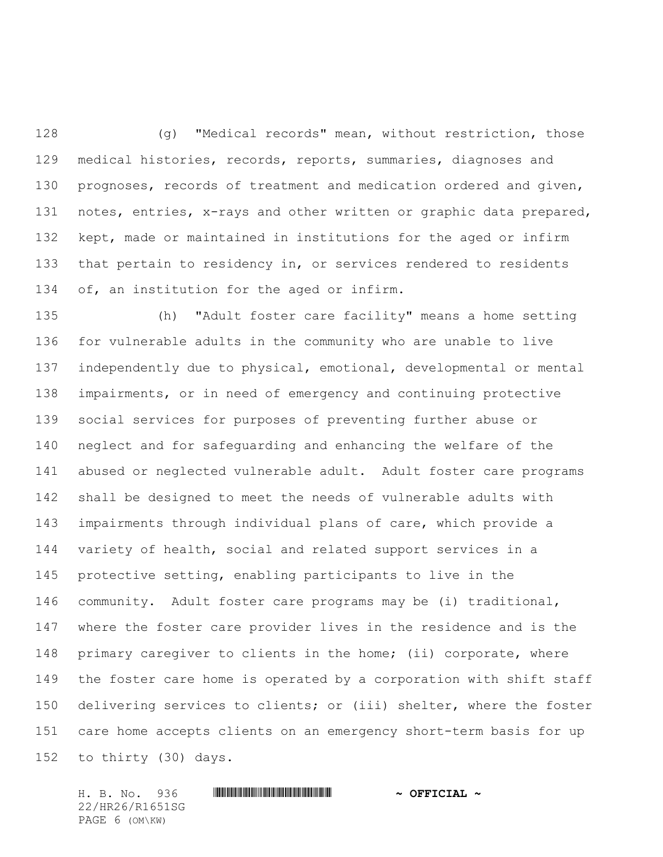(g) "Medical records" mean, without restriction, those medical histories, records, reports, summaries, diagnoses and prognoses, records of treatment and medication ordered and given, notes, entries, x-rays and other written or graphic data prepared, kept, made or maintained in institutions for the aged or infirm that pertain to residency in, or services rendered to residents of, an institution for the aged or infirm.

 (h) "Adult foster care facility" means a home setting for vulnerable adults in the community who are unable to live independently due to physical, emotional, developmental or mental impairments, or in need of emergency and continuing protective social services for purposes of preventing further abuse or neglect and for safeguarding and enhancing the welfare of the abused or neglected vulnerable adult. Adult foster care programs shall be designed to meet the needs of vulnerable adults with impairments through individual plans of care, which provide a variety of health, social and related support services in a protective setting, enabling participants to live in the community. Adult foster care programs may be (i) traditional, where the foster care provider lives in the residence and is the 148 primary caregiver to clients in the home; (ii) corporate, where the foster care home is operated by a corporation with shift staff delivering services to clients; or (iii) shelter, where the foster care home accepts clients on an emergency short-term basis for up to thirty (30) days.

H. B. No. 936 \*HR26/R1651SG\* **~ OFFICIAL ~** 22/HR26/R1651SG PAGE 6 (OM\KW)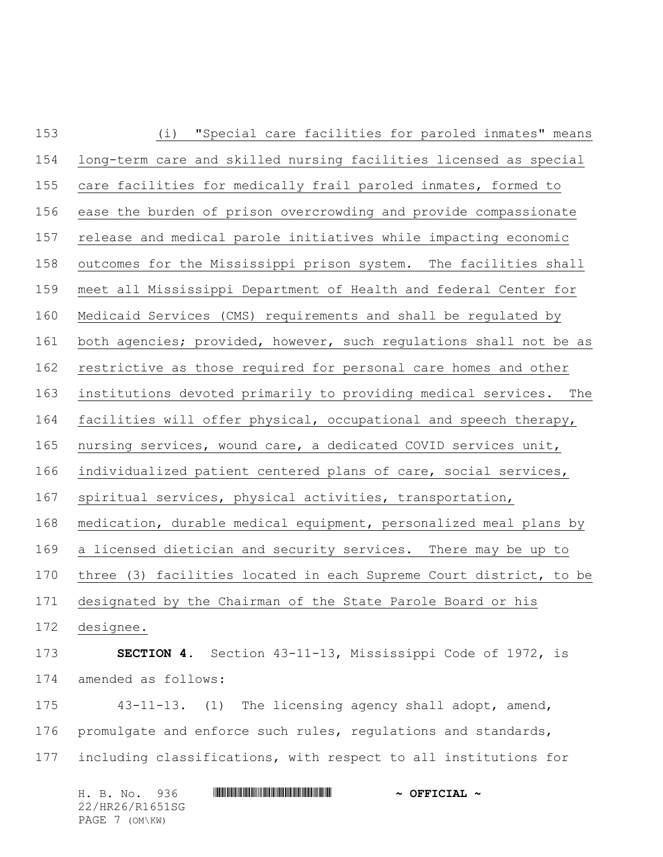| 153 | (i) "Special care facilities for paroled inmates" means            |
|-----|--------------------------------------------------------------------|
| 154 | long-term care and skilled nursing facilities licensed as special  |
| 155 | care facilities for medically frail paroled inmates, formed to     |
| 156 | ease the burden of prison overcrowding and provide compassionate   |
| 157 | release and medical parole initiatives while impacting economic    |
| 158 | outcomes for the Mississippi prison system. The facilities shall   |
| 159 | meet all Mississippi Department of Health and federal Center for   |
| 160 | Medicaid Services (CMS) requirements and shall be regulated by     |
| 161 | both agencies; provided, however, such regulations shall not be as |
| 162 | restrictive as those required for personal care homes and other    |
| 163 | institutions devoted primarily to providing medical services. The  |
| 164 | facilities will offer physical, occupational and speech therapy,   |
| 165 | nursing services, wound care, a dedicated COVID services unit,     |
| 166 | individualized patient centered plans of care, social services,    |
| 167 | spiritual services, physical activities, transportation,           |
| 168 | medication, durable medical equipment, personalized meal plans by  |
| 169 | a licensed dietician and security services. There may be up to     |
| 170 | three (3) facilities located in each Supreme Court district, to be |
| 171 | designated by the Chairman of the State Parole Board or his        |
| 172 | designee.                                                          |
| 173 | SECTION 4. Section 43-11-13, Mississippi Code of 1972, is          |
| 174 | amended as follows:                                                |
| 175 | 43-11-13. (1) The licensing agency shall adopt, amend,             |
| 176 | promulgate and enforce such rules, regulations and standards,      |
| 177 | including classifications, with respect to all institutions for    |
|     |                                                                    |

H. B. No. 936 \*HR26/R1651SG\* **~ OFFICIAL ~** 22/HR26/R1651SG PAGE 7 (OM\KW)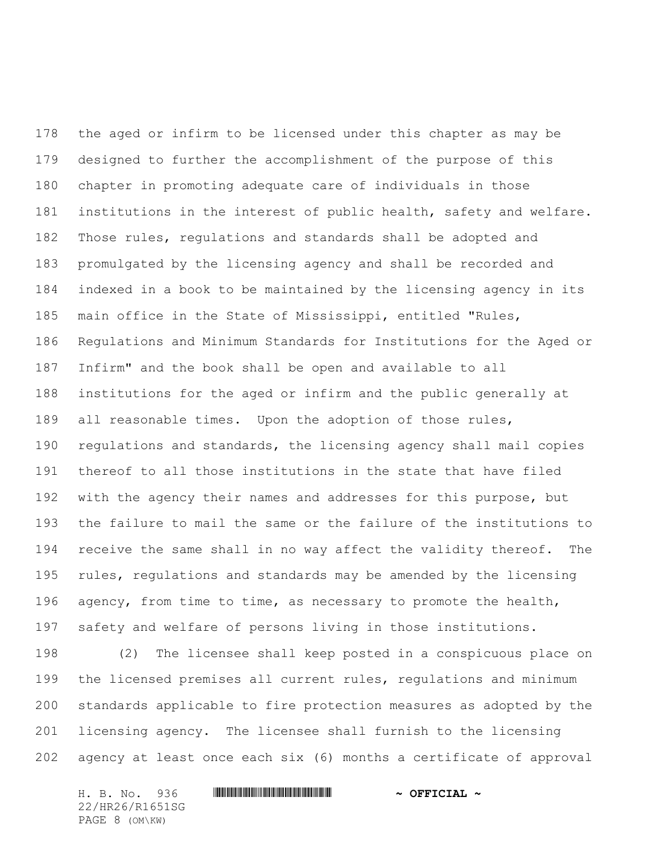the aged or infirm to be licensed under this chapter as may be designed to further the accomplishment of the purpose of this chapter in promoting adequate care of individuals in those institutions in the interest of public health, safety and welfare. Those rules, regulations and standards shall be adopted and promulgated by the licensing agency and shall be recorded and indexed in a book to be maintained by the licensing agency in its main office in the State of Mississippi, entitled "Rules, Regulations and Minimum Standards for Institutions for the Aged or Infirm" and the book shall be open and available to all institutions for the aged or infirm and the public generally at all reasonable times. Upon the adoption of those rules, regulations and standards, the licensing agency shall mail copies thereof to all those institutions in the state that have filed with the agency their names and addresses for this purpose, but the failure to mail the same or the failure of the institutions to 194 receive the same shall in no way affect the validity thereof. The rules, regulations and standards may be amended by the licensing agency, from time to time, as necessary to promote the health, safety and welfare of persons living in those institutions.

 (2) The licensee shall keep posted in a conspicuous place on the licensed premises all current rules, regulations and minimum standards applicable to fire protection measures as adopted by the licensing agency. The licensee shall furnish to the licensing agency at least once each six (6) months a certificate of approval

H. B. No. 936 \*HR26/R1651SG\* **~ OFFICIAL ~** 22/HR26/R1651SG PAGE 8 (OM\KW)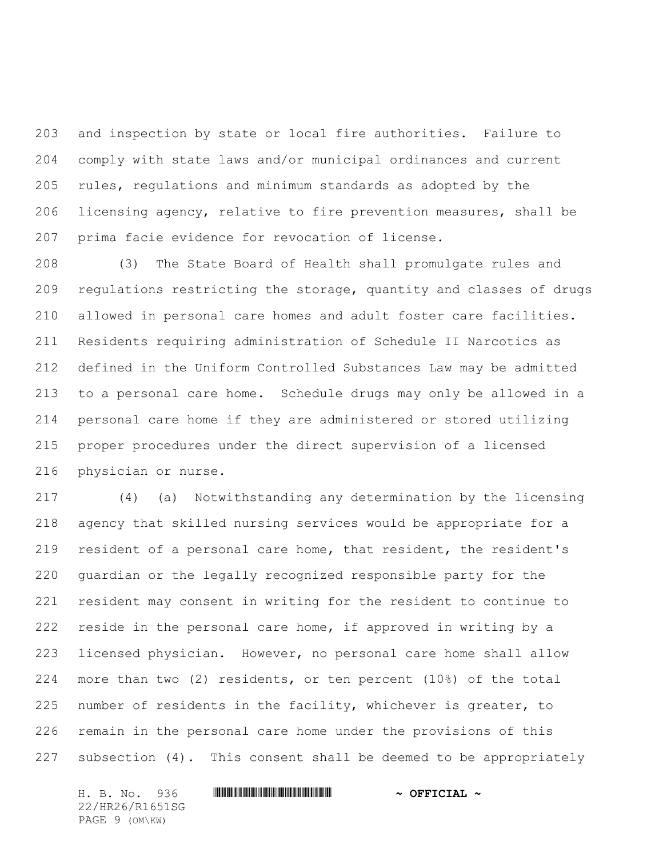and inspection by state or local fire authorities. Failure to comply with state laws and/or municipal ordinances and current rules, regulations and minimum standards as adopted by the licensing agency, relative to fire prevention measures, shall be prima facie evidence for revocation of license.

 (3) The State Board of Health shall promulgate rules and regulations restricting the storage, quantity and classes of drugs allowed in personal care homes and adult foster care facilities. Residents requiring administration of Schedule II Narcotics as defined in the Uniform Controlled Substances Law may be admitted to a personal care home. Schedule drugs may only be allowed in a personal care home if they are administered or stored utilizing proper procedures under the direct supervision of a licensed physician or nurse.

 (4) (a) Notwithstanding any determination by the licensing agency that skilled nursing services would be appropriate for a resident of a personal care home, that resident, the resident's guardian or the legally recognized responsible party for the resident may consent in writing for the resident to continue to reside in the personal care home, if approved in writing by a licensed physician. However, no personal care home shall allow more than two (2) residents, or ten percent (10%) of the total number of residents in the facility, whichever is greater, to remain in the personal care home under the provisions of this subsection (4). This consent shall be deemed to be appropriately

22/HR26/R1651SG PAGE 9 (OM\KW)

## H. B. No. 936 \*HR26/R1651SG\* **~ OFFICIAL ~**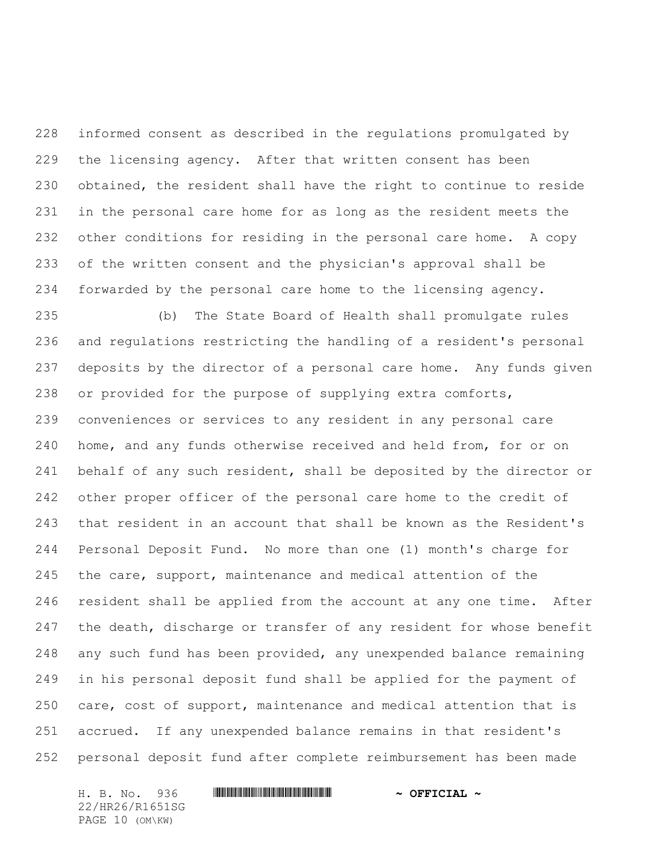informed consent as described in the regulations promulgated by the licensing agency. After that written consent has been obtained, the resident shall have the right to continue to reside in the personal care home for as long as the resident meets the other conditions for residing in the personal care home. A copy of the written consent and the physician's approval shall be forwarded by the personal care home to the licensing agency.

 (b) The State Board of Health shall promulgate rules and regulations restricting the handling of a resident's personal deposits by the director of a personal care home. Any funds given or provided for the purpose of supplying extra comforts, conveniences or services to any resident in any personal care home, and any funds otherwise received and held from, for or on 241 behalf of any such resident, shall be deposited by the director or other proper officer of the personal care home to the credit of that resident in an account that shall be known as the Resident's Personal Deposit Fund. No more than one (1) month's charge for the care, support, maintenance and medical attention of the resident shall be applied from the account at any one time. After 247 the death, discharge or transfer of any resident for whose benefit any such fund has been provided, any unexpended balance remaining in his personal deposit fund shall be applied for the payment of care, cost of support, maintenance and medical attention that is accrued. If any unexpended balance remains in that resident's personal deposit fund after complete reimbursement has been made

H. B. No. 936 \*HR26/R1651SG\* **~ OFFICIAL ~** 22/HR26/R1651SG PAGE 10 (OM\KW)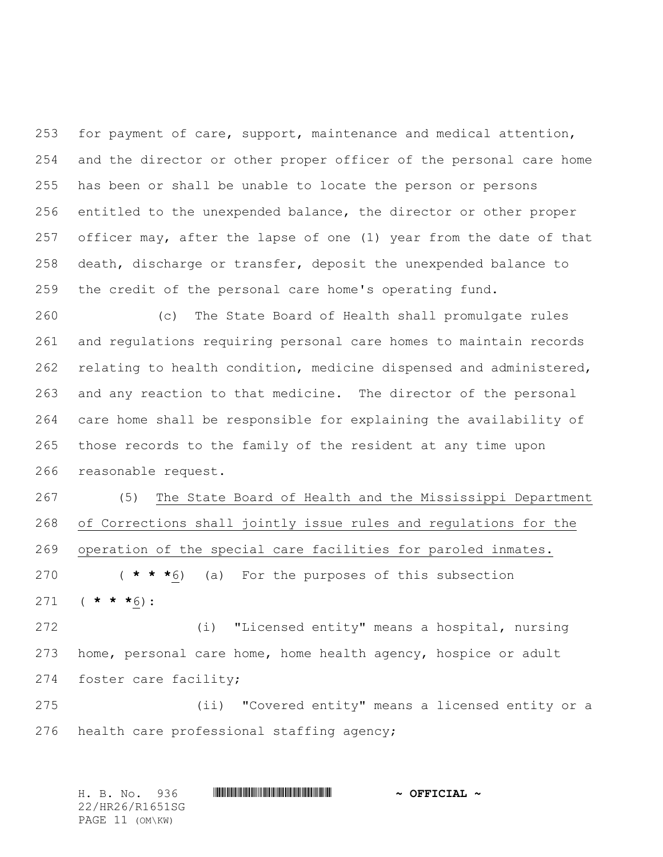for payment of care, support, maintenance and medical attention, and the director or other proper officer of the personal care home has been or shall be unable to locate the person or persons entitled to the unexpended balance, the director or other proper officer may, after the lapse of one (1) year from the date of that death, discharge or transfer, deposit the unexpended balance to the credit of the personal care home's operating fund.

 (c) The State Board of Health shall promulgate rules and regulations requiring personal care homes to maintain records relating to health condition, medicine dispensed and administered, and any reaction to that medicine. The director of the personal care home shall be responsible for explaining the availability of those records to the family of the resident at any time upon reasonable request.

 (5) The State Board of Health and the Mississippi Department of Corrections shall jointly issue rules and regulations for the operation of the special care facilities for paroled inmates. ( **\* \* \***6) (a) For the purposes of this subsection ( **\* \* \***6):

 (i) "Licensed entity" means a hospital, nursing home, personal care home, home health agency, hospice or adult foster care facility;

 (ii) "Covered entity" means a licensed entity or a health care professional staffing agency;

H. B. No. 936 \*HR26/R1651SG\* **~ OFFICIAL ~** 22/HR26/R1651SG PAGE 11 (OM\KW)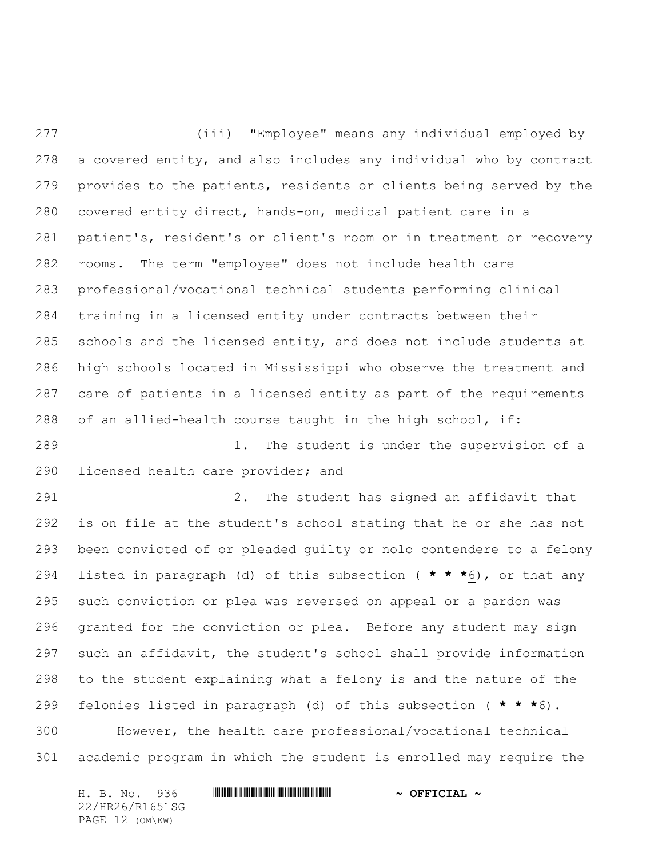(iii) "Employee" means any individual employed by a covered entity, and also includes any individual who by contract provides to the patients, residents or clients being served by the covered entity direct, hands-on, medical patient care in a patient's, resident's or client's room or in treatment or recovery rooms. The term "employee" does not include health care professional/vocational technical students performing clinical training in a licensed entity under contracts between their schools and the licensed entity, and does not include students at high schools located in Mississippi who observe the treatment and care of patients in a licensed entity as part of the requirements of an allied-health course taught in the high school, if:

 1. The student is under the supervision of a licensed health care provider; and

 2. The student has signed an affidavit that is on file at the student's school stating that he or she has not been convicted of or pleaded guilty or nolo contendere to a felony listed in paragraph (d) of this subsection ( **\* \* \***6), or that any such conviction or plea was reversed on appeal or a pardon was granted for the conviction or plea. Before any student may sign such an affidavit, the student's school shall provide information to the student explaining what a felony is and the nature of the felonies listed in paragraph (d) of this subsection ( **\* \* \***6). However, the health care professional/vocational technical

academic program in which the student is enrolled may require the

H. B. No. 936 \*HR26/R1651SG\* **~ OFFICIAL ~** 22/HR26/R1651SG PAGE 12 (OM\KW)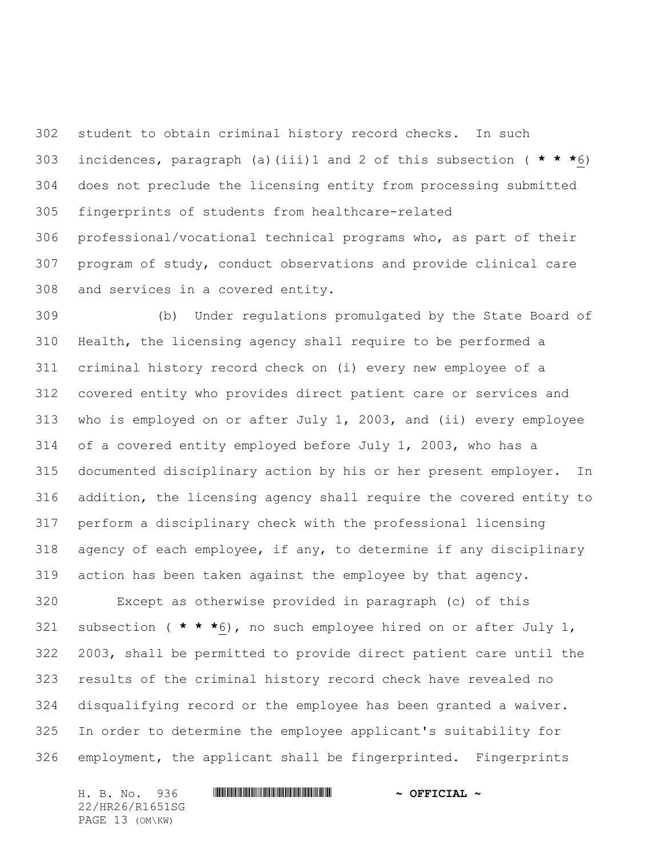student to obtain criminal history record checks. In such incidences, paragraph (a)(iii)1 and 2 of this subsection ( **\* \* \***6) does not preclude the licensing entity from processing submitted fingerprints of students from healthcare-related professional/vocational technical programs who, as part of their program of study, conduct observations and provide clinical care and services in a covered entity.

 (b) Under regulations promulgated by the State Board of Health, the licensing agency shall require to be performed a criminal history record check on (i) every new employee of a covered entity who provides direct patient care or services and who is employed on or after July 1, 2003, and (ii) every employee of a covered entity employed before July 1, 2003, who has a documented disciplinary action by his or her present employer. In addition, the licensing agency shall require the covered entity to perform a disciplinary check with the professional licensing agency of each employee, if any, to determine if any disciplinary action has been taken against the employee by that agency.

 Except as otherwise provided in paragraph (c) of this subsection ( **\* \* \***6), no such employee hired on or after July 1, 2003, shall be permitted to provide direct patient care until the results of the criminal history record check have revealed no disqualifying record or the employee has been granted a waiver. In order to determine the employee applicant's suitability for employment, the applicant shall be fingerprinted. Fingerprints

H. B. No. 936 \*HR26/R1651SG\* **~ OFFICIAL ~** 22/HR26/R1651SG PAGE 13 (OM\KW)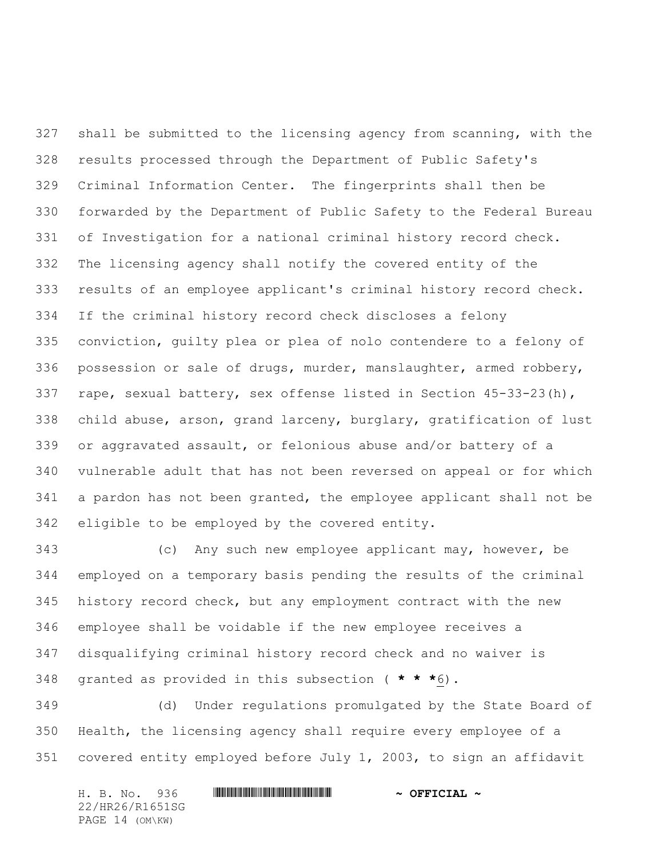shall be submitted to the licensing agency from scanning, with the results processed through the Department of Public Safety's Criminal Information Center. The fingerprints shall then be forwarded by the Department of Public Safety to the Federal Bureau of Investigation for a national criminal history record check. The licensing agency shall notify the covered entity of the results of an employee applicant's criminal history record check. If the criminal history record check discloses a felony conviction, guilty plea or plea of nolo contendere to a felony of possession or sale of drugs, murder, manslaughter, armed robbery, rape, sexual battery, sex offense listed in Section 45-33-23(h), child abuse, arson, grand larceny, burglary, gratification of lust or aggravated assault, or felonious abuse and/or battery of a vulnerable adult that has not been reversed on appeal or for which a pardon has not been granted, the employee applicant shall not be eligible to be employed by the covered entity.

 (c) Any such new employee applicant may, however, be employed on a temporary basis pending the results of the criminal history record check, but any employment contract with the new employee shall be voidable if the new employee receives a disqualifying criminal history record check and no waiver is granted as provided in this subsection ( **\* \* \***6).

 (d) Under regulations promulgated by the State Board of Health, the licensing agency shall require every employee of a covered entity employed before July 1, 2003, to sign an affidavit

H. B. No. 936 \*HR26/R1651SG\* **~ OFFICIAL ~** 22/HR26/R1651SG PAGE 14 (OM\KW)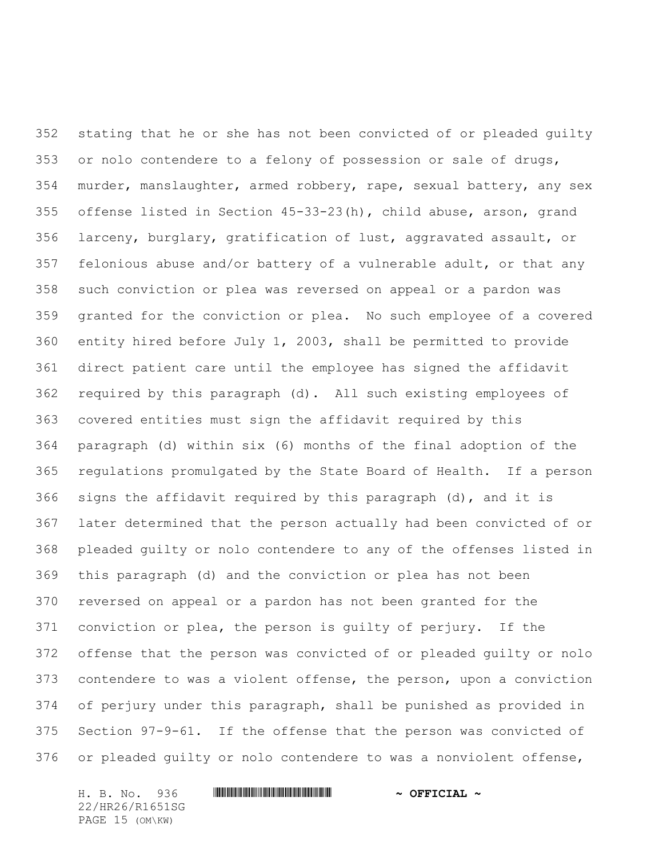stating that he or she has not been convicted of or pleaded guilty or nolo contendere to a felony of possession or sale of drugs, murder, manslaughter, armed robbery, rape, sexual battery, any sex offense listed in Section 45-33-23(h), child abuse, arson, grand larceny, burglary, gratification of lust, aggravated assault, or felonious abuse and/or battery of a vulnerable adult, or that any such conviction or plea was reversed on appeal or a pardon was granted for the conviction or plea. No such employee of a covered entity hired before July 1, 2003, shall be permitted to provide direct patient care until the employee has signed the affidavit required by this paragraph (d). All such existing employees of covered entities must sign the affidavit required by this paragraph (d) within six (6) months of the final adoption of the regulations promulgated by the State Board of Health. If a person signs the affidavit required by this paragraph (d), and it is later determined that the person actually had been convicted of or pleaded guilty or nolo contendere to any of the offenses listed in this paragraph (d) and the conviction or plea has not been reversed on appeal or a pardon has not been granted for the conviction or plea, the person is guilty of perjury. If the offense that the person was convicted of or pleaded guilty or nolo contendere to was a violent offense, the person, upon a conviction of perjury under this paragraph, shall be punished as provided in Section 97-9-61. If the offense that the person was convicted of or pleaded guilty or nolo contendere to was a nonviolent offense,

H. B. No. 936 \*HR26/R1651SG\* **~ OFFICIAL ~** 22/HR26/R1651SG PAGE 15 (OM\KW)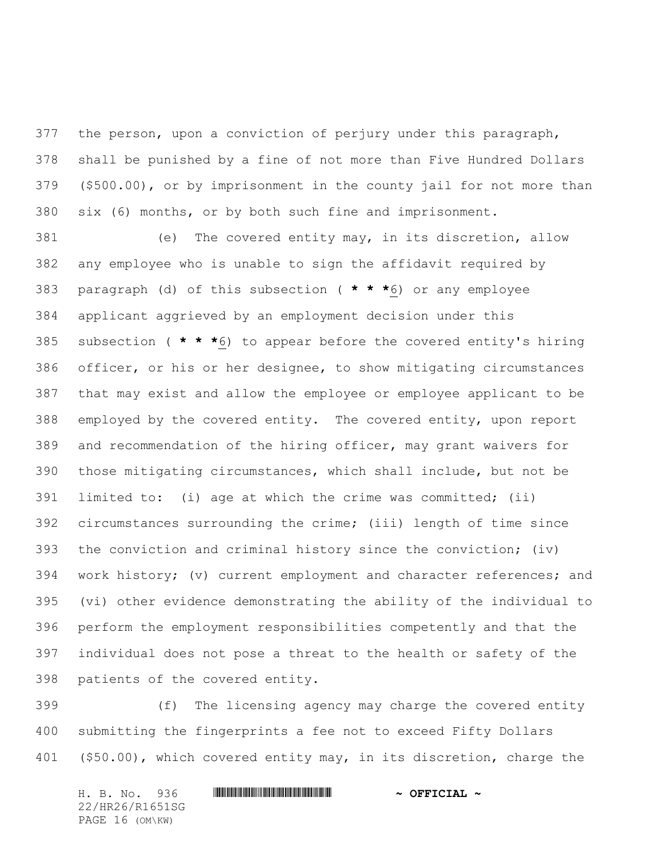the person, upon a conviction of perjury under this paragraph, shall be punished by a fine of not more than Five Hundred Dollars (\$500.00), or by imprisonment in the county jail for not more than six (6) months, or by both such fine and imprisonment.

 (e) The covered entity may, in its discretion, allow any employee who is unable to sign the affidavit required by paragraph (d) of this subsection ( **\* \* \***6) or any employee applicant aggrieved by an employment decision under this subsection ( **\* \* \***6) to appear before the covered entity's hiring officer, or his or her designee, to show mitigating circumstances that may exist and allow the employee or employee applicant to be employed by the covered entity. The covered entity, upon report and recommendation of the hiring officer, may grant waivers for those mitigating circumstances, which shall include, but not be limited to: (i) age at which the crime was committed; (ii) circumstances surrounding the crime; (iii) length of time since the conviction and criminal history since the conviction; (iv) work history; (v) current employment and character references; and (vi) other evidence demonstrating the ability of the individual to perform the employment responsibilities competently and that the individual does not pose a threat to the health or safety of the patients of the covered entity.

 (f) The licensing agency may charge the covered entity submitting the fingerprints a fee not to exceed Fifty Dollars (\$50.00), which covered entity may, in its discretion, charge the

H. B. No. 936 \*HR26/R1651SG\* **~ OFFICIAL ~** 22/HR26/R1651SG PAGE 16 (OM\KW)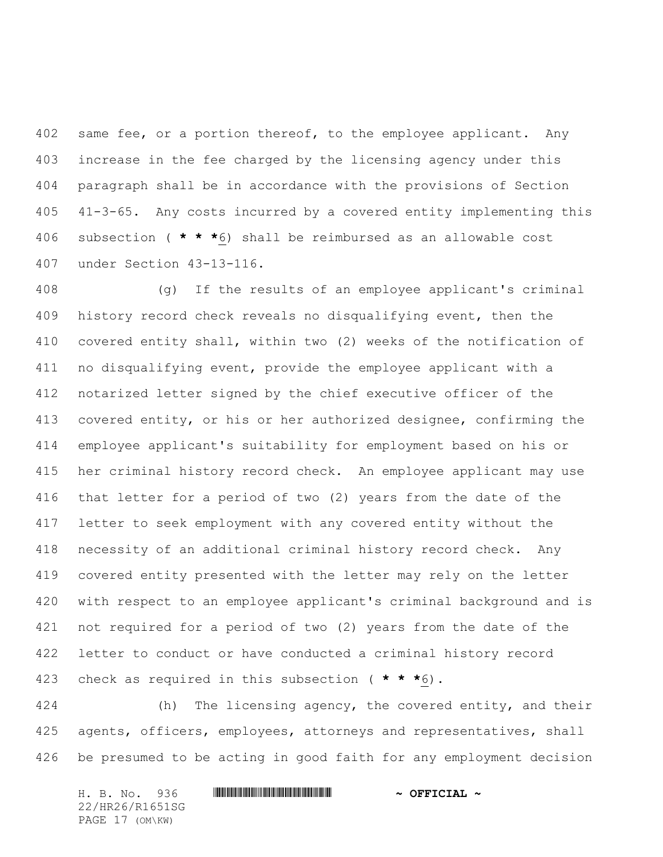402 same fee, or a portion thereof, to the employee applicant. Any increase in the fee charged by the licensing agency under this paragraph shall be in accordance with the provisions of Section 41-3-65. Any costs incurred by a covered entity implementing this subsection ( **\* \* \***6) shall be reimbursed as an allowable cost under Section 43-13-116.

 (g) If the results of an employee applicant's criminal history record check reveals no disqualifying event, then the covered entity shall, within two (2) weeks of the notification of no disqualifying event, provide the employee applicant with a notarized letter signed by the chief executive officer of the covered entity, or his or her authorized designee, confirming the employee applicant's suitability for employment based on his or her criminal history record check. An employee applicant may use that letter for a period of two (2) years from the date of the letter to seek employment with any covered entity without the necessity of an additional criminal history record check. Any covered entity presented with the letter may rely on the letter with respect to an employee applicant's criminal background and is not required for a period of two (2) years from the date of the letter to conduct or have conducted a criminal history record check as required in this subsection ( **\* \* \***6).

424 (h) The licensing agency, the covered entity, and their 425 agents, officers, employees, attorneys and representatives, shall be presumed to be acting in good faith for any employment decision

H. B. No. 936 \*HR26/R1651SG\* **~ OFFICIAL ~** 22/HR26/R1651SG PAGE 17 (OM\KW)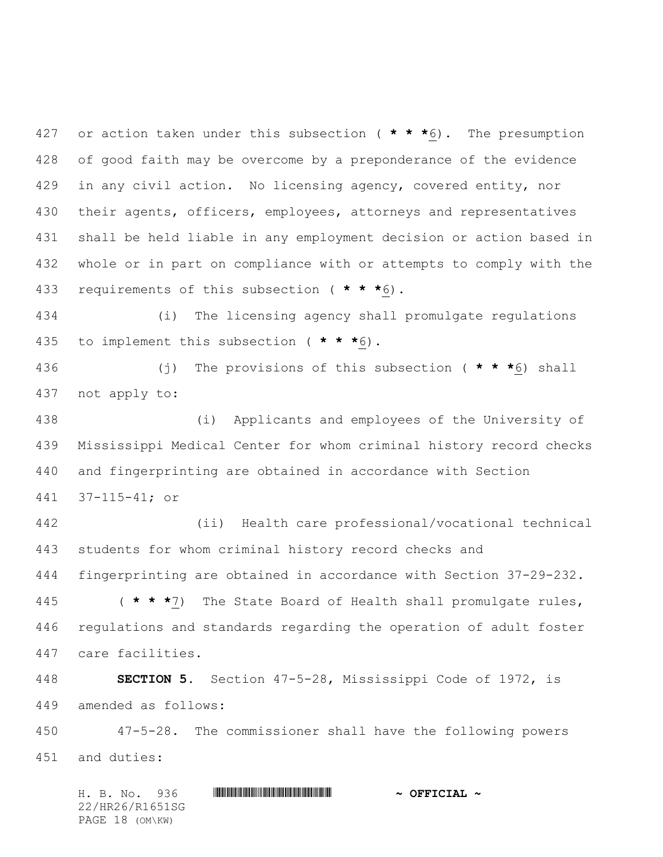or action taken under this subsection ( **\* \* \***6). The presumption of good faith may be overcome by a preponderance of the evidence in any civil action. No licensing agency, covered entity, nor their agents, officers, employees, attorneys and representatives shall be held liable in any employment decision or action based in whole or in part on compliance with or attempts to comply with the requirements of this subsection ( **\* \* \***6).

 (i) The licensing agency shall promulgate regulations to implement this subsection ( **\* \* \***6).

 (j) The provisions of this subsection ( **\* \* \***6) shall not apply to:

 (i) Applicants and employees of the University of Mississippi Medical Center for whom criminal history record checks and fingerprinting are obtained in accordance with Section 37-115-41; or

 (ii) Health care professional/vocational technical students for whom criminal history record checks and fingerprinting are obtained in accordance with Section 37-29-232.

 ( **\* \* \***7) The State Board of Health shall promulgate rules, regulations and standards regarding the operation of adult foster care facilities.

 **SECTION 5.** Section 47-5-28, Mississippi Code of 1972, is amended as follows:

 47-5-28. The commissioner shall have the following powers and duties:

H. B. No. 936 \*HR26/R1651SG\* **~ OFFICIAL ~** 22/HR26/R1651SG PAGE 18 (OM\KW)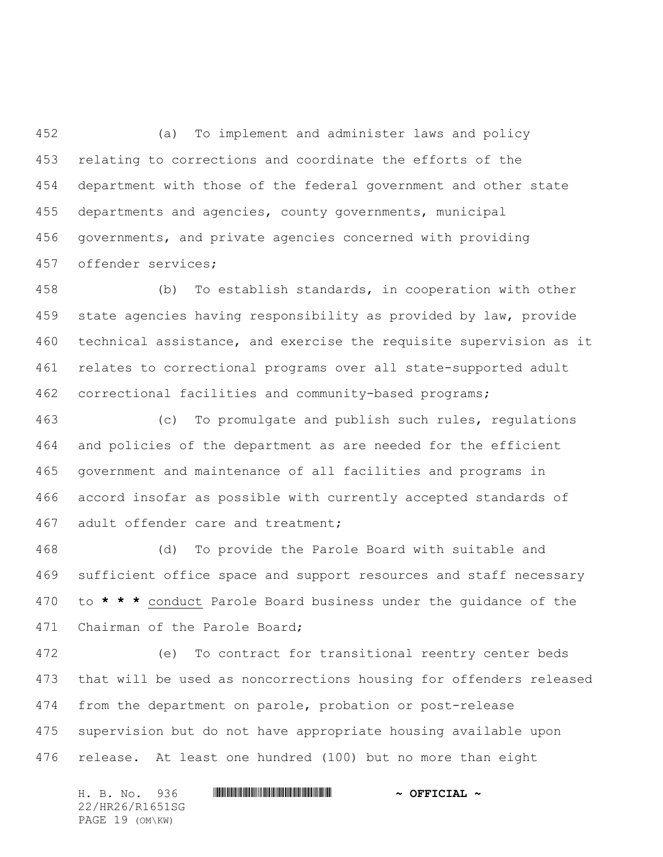(a) To implement and administer laws and policy relating to corrections and coordinate the efforts of the department with those of the federal government and other state departments and agencies, county governments, municipal governments, and private agencies concerned with providing offender services;

 (b) To establish standards, in cooperation with other state agencies having responsibility as provided by law, provide technical assistance, and exercise the requisite supervision as it relates to correctional programs over all state-supported adult correctional facilities and community-based programs;

 (c) To promulgate and publish such rules, regulations and policies of the department as are needed for the efficient government and maintenance of all facilities and programs in accord insofar as possible with currently accepted standards of adult offender care and treatment;

 (d) To provide the Parole Board with suitable and sufficient office space and support resources and staff necessary to **\* \* \*** conduct Parole Board business under the guidance of the Chairman of the Parole Board;

 (e) To contract for transitional reentry center beds that will be used as noncorrections housing for offenders released from the department on parole, probation or post-release supervision but do not have appropriate housing available upon release. At least one hundred (100) but no more than eight

H. B. No. 936 \*HR26/R1651SG\* **~ OFFICIAL ~** 22/HR26/R1651SG PAGE 19 (OM\KW)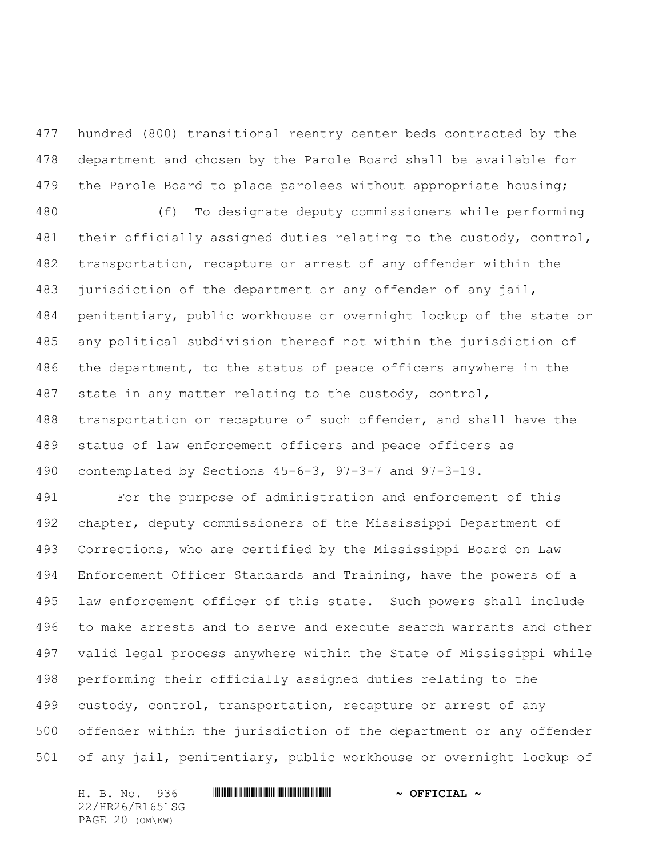hundred (800) transitional reentry center beds contracted by the department and chosen by the Parole Board shall be available for 479 the Parole Board to place parolees without appropriate housing;

 (f) To designate deputy commissioners while performing their officially assigned duties relating to the custody, control, transportation, recapture or arrest of any offender within the jurisdiction of the department or any offender of any jail, penitentiary, public workhouse or overnight lockup of the state or any political subdivision thereof not within the jurisdiction of the department, to the status of peace officers anywhere in the state in any matter relating to the custody, control, transportation or recapture of such offender, and shall have the status of law enforcement officers and peace officers as contemplated by Sections 45-6-3, 97-3-7 and 97-3-19.

 For the purpose of administration and enforcement of this chapter, deputy commissioners of the Mississippi Department of Corrections, who are certified by the Mississippi Board on Law Enforcement Officer Standards and Training, have the powers of a law enforcement officer of this state. Such powers shall include to make arrests and to serve and execute search warrants and other valid legal process anywhere within the State of Mississippi while performing their officially assigned duties relating to the custody, control, transportation, recapture or arrest of any offender within the jurisdiction of the department or any offender of any jail, penitentiary, public workhouse or overnight lockup of

H. B. No. 936 \*HR26/R1651SG\* **~ OFFICIAL ~** 22/HR26/R1651SG PAGE 20 (OM\KW)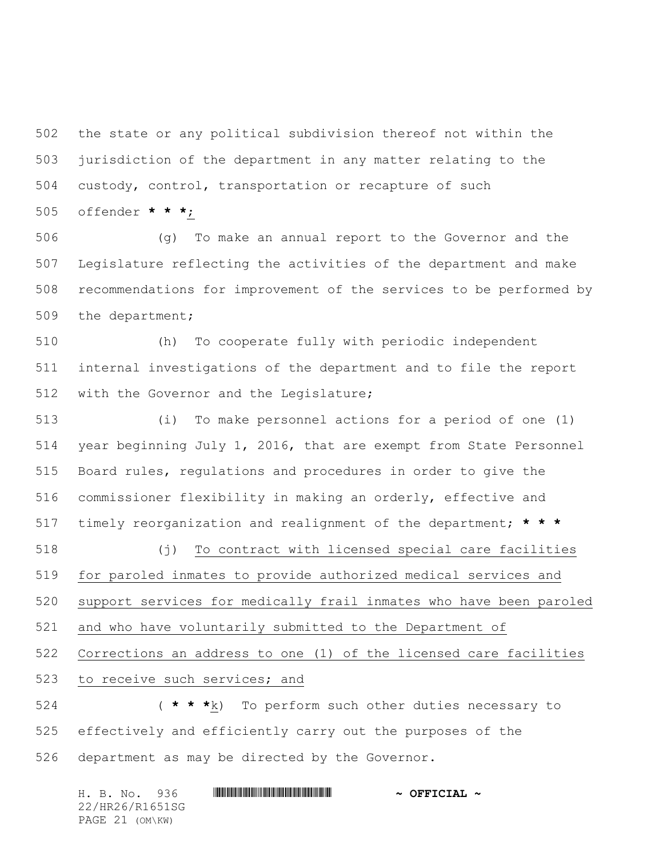the state or any political subdivision thereof not within the jurisdiction of the department in any matter relating to the custody, control, transportation or recapture of such offender **\* \* \***;

 (g) To make an annual report to the Governor and the Legislature reflecting the activities of the department and make recommendations for improvement of the services to be performed by the department;

 (h) To cooperate fully with periodic independent internal investigations of the department and to file the report 512 with the Governor and the Legislature;

 (i) To make personnel actions for a period of one (1) year beginning July 1, 2016, that are exempt from State Personnel Board rules, regulations and procedures in order to give the commissioner flexibility in making an orderly, effective and timely reorganization and realignment of the department; **\* \* \*** (j) To contract with licensed special care facilities for paroled inmates to provide authorized medical services and support services for medically frail inmates who have been paroled and who have voluntarily submitted to the Department of Corrections an address to one (1) of the licensed care facilities to receive such services; and ( **\* \* \***k) To perform such other duties necessary to

 effectively and efficiently carry out the purposes of the department as may be directed by the Governor.

H. B. No. 936 \*HR26/R1651SG\* **~ OFFICIAL ~** 22/HR26/R1651SG PAGE 21 (OM\KW)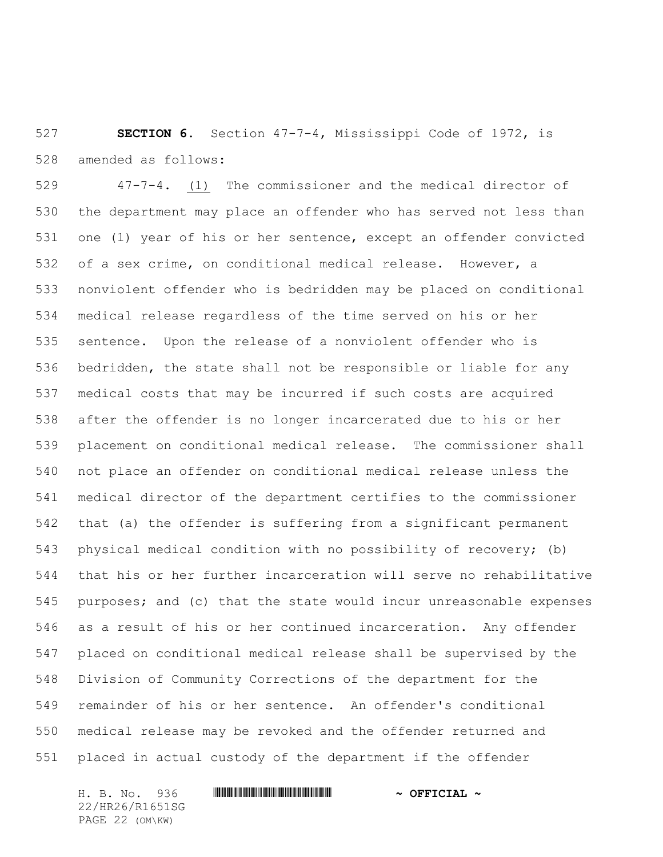**SECTION 6.** Section 47-7-4, Mississippi Code of 1972, is amended as follows:

 47-7-4. (1) The commissioner and the medical director of the department may place an offender who has served not less than one (1) year of his or her sentence, except an offender convicted of a sex crime, on conditional medical release. However, a nonviolent offender who is bedridden may be placed on conditional medical release regardless of the time served on his or her sentence. Upon the release of a nonviolent offender who is bedridden, the state shall not be responsible or liable for any medical costs that may be incurred if such costs are acquired after the offender is no longer incarcerated due to his or her placement on conditional medical release. The commissioner shall not place an offender on conditional medical release unless the medical director of the department certifies to the commissioner that (a) the offender is suffering from a significant permanent physical medical condition with no possibility of recovery; (b) that his or her further incarceration will serve no rehabilitative purposes; and (c) that the state would incur unreasonable expenses as a result of his or her continued incarceration. Any offender placed on conditional medical release shall be supervised by the Division of Community Corrections of the department for the remainder of his or her sentence. An offender's conditional medical release may be revoked and the offender returned and placed in actual custody of the department if the offender

H. B. No. 936 \*HR26/R1651SG\* **~ OFFICIAL ~** 22/HR26/R1651SG PAGE 22 (OM\KW)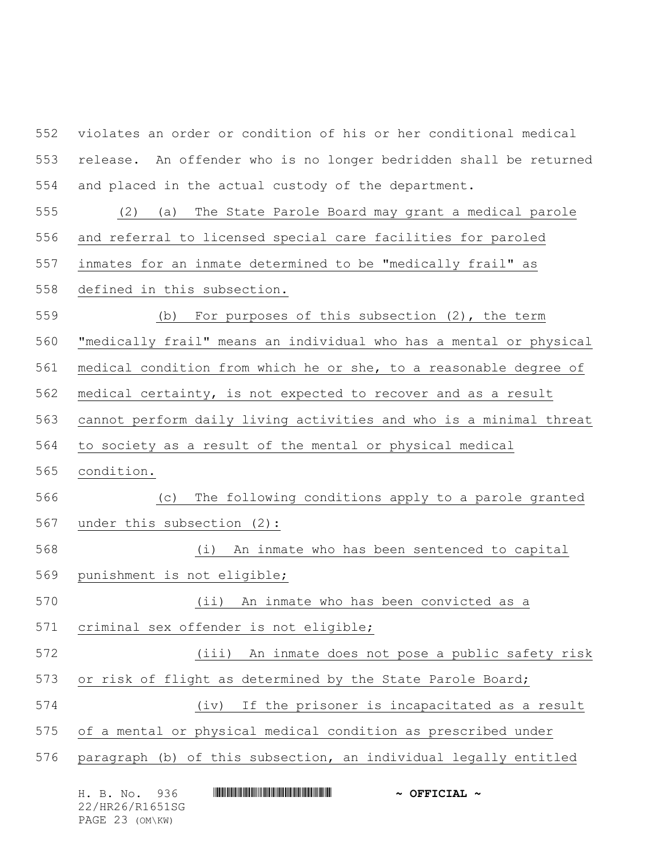violates an order or condition of his or her conditional medical release. An offender who is no longer bedridden shall be returned and placed in the actual custody of the department. (2) (a) The State Parole Board may grant a medical parole and referral to licensed special care facilities for paroled inmates for an inmate determined to be "medically frail" as defined in this subsection. (b) For purposes of this subsection (2), the term "medically frail" means an individual who has a mental or physical 561 medical condition from which he or she, to a reasonable degree of medical certainty, is not expected to recover and as a result cannot perform daily living activities and who is a minimal threat to society as a result of the mental or physical medical condition. (c) The following conditions apply to a parole granted under this subsection (2): (i) An inmate who has been sentenced to capital punishment is not eligible; (ii) An inmate who has been convicted as a criminal sex offender is not eligible; (iii) An inmate does not pose a public safety risk 573 or risk of flight as determined by the State Parole Board; (iv) If the prisoner is incapacitated as a result of a mental or physical medical condition as prescribed under paragraph (b) of this subsection, an individual legally entitled

| H. B. No. 936   | $\sim$ OFFICIAL $\sim$ |
|-----------------|------------------------|
| 22/HR26/R1651SG |                        |
| PAGE 23 (OM\KW) |                        |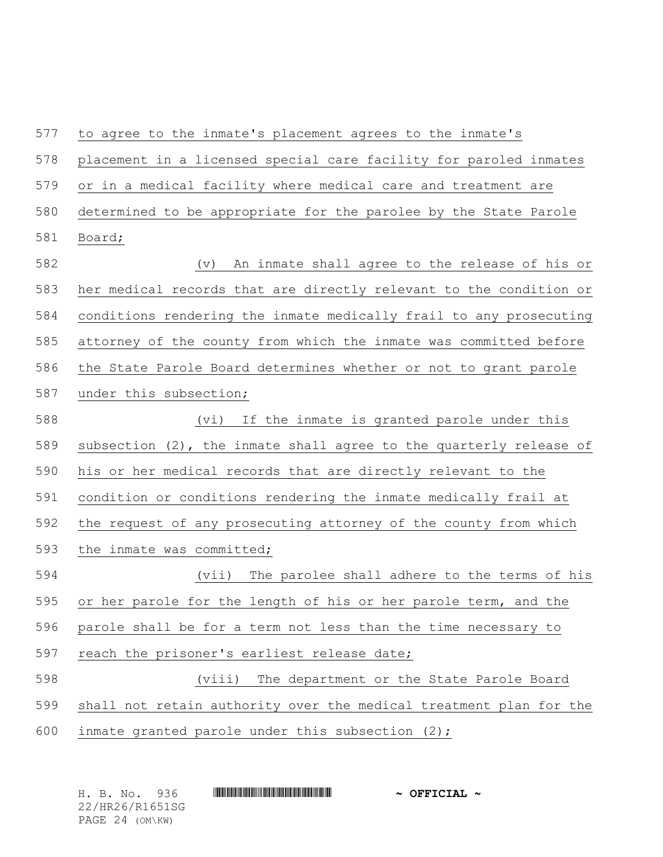to agree to the inmate's placement agrees to the inmate's placement in a licensed special care facility for paroled inmates or in a medical facility where medical care and treatment are determined to be appropriate for the parolee by the State Parole Board; (v) An inmate shall agree to the release of his or her medical records that are directly relevant to the condition or conditions rendering the inmate medically frail to any prosecuting attorney of the county from which the inmate was committed before the State Parole Board determines whether or not to grant parole under this subsection; (vi) If the inmate is granted parole under this 589 subsection (2), the inmate shall agree to the quarterly release of his or her medical records that are directly relevant to the condition or conditions rendering the inmate medically frail at the request of any prosecuting attorney of the county from which the inmate was committed; (vii) The parolee shall adhere to the terms of his or her parole for the length of his or her parole term, and the parole shall be for a term not less than the time necessary to reach the prisoner's earliest release date; (viii) The department or the State Parole Board shall not retain authority over the medical treatment plan for the inmate granted parole under this subsection (2);

|  | H. B. No. 936   |  | $\sim$ OFFICIAL $\sim$ |  |
|--|-----------------|--|------------------------|--|
|  | 22/HR26/R1651SG |  |                        |  |
|  | PAGE 24 (OM\KW) |  |                        |  |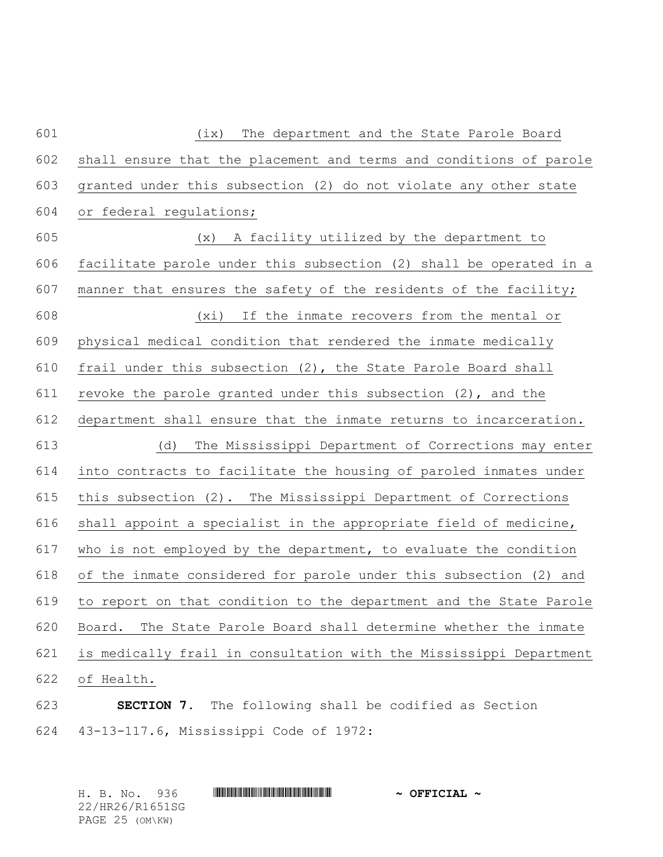| 601 | (ix)<br>The department and the State Parole Board                   |
|-----|---------------------------------------------------------------------|
| 602 | shall ensure that the placement and terms and conditions of parole  |
| 603 | granted under this subsection (2) do not violate any other state    |
| 604 | or federal regulations;                                             |
| 605 | (x) A facility utilized by the department to                        |
| 606 | facilitate parole under this subsection (2) shall be operated in a  |
| 607 | manner that ensures the safety of the residents of the facility;    |
| 608 | (xi) If the inmate recovers from the mental or                      |
| 609 | physical medical condition that rendered the inmate medically       |
| 610 | frail under this subsection (2), the State Parole Board shall       |
| 611 | revoke the parole granted under this subsection (2), and the        |
| 612 | department shall ensure that the inmate returns to incarceration.   |
| 613 | The Mississippi Department of Corrections may enter<br>(d)          |
| 614 | into contracts to facilitate the housing of paroled inmates under   |
| 615 | this subsection (2). The Mississippi Department of Corrections      |
| 616 | shall appoint a specialist in the appropriate field of medicine,    |
| 617 | who is not employed by the department, to evaluate the condition    |
| 618 | of the inmate considered for parole under this subsection (2) and   |
| 619 | to report on that condition to the department and the State Parole  |
| 620 | The State Parole Board shall determine whether the inmate<br>Board. |
| 621 | is medically frail in consultation with the Mississippi Department  |
| 622 | of Health.                                                          |
| 623 | The following shall be codified as Section<br>SECTION 7.            |

43-13-117.6, Mississippi Code of 1972:

H. B. No. 936 \*HR26/R1651SG\* **~ OFFICIAL ~** 22/HR26/R1651SG PAGE 25 (OM\KW)